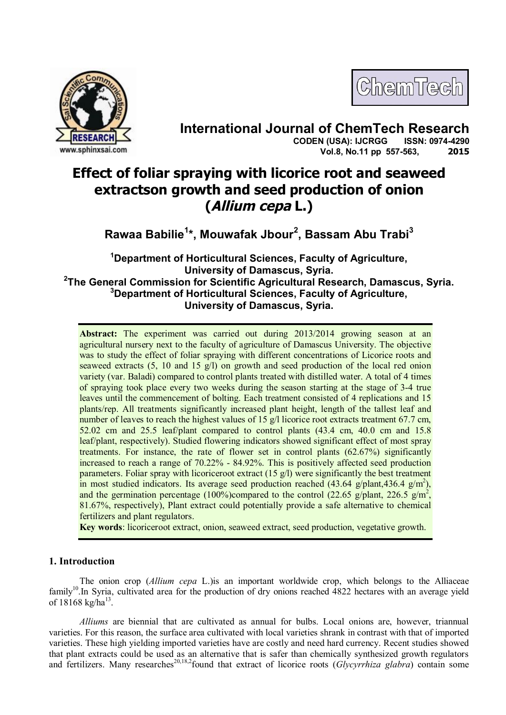



# **International Journal of ChemTech Research CODEN (USA): IJCRGG Vol.8, No.11 pp 557-563, 2015**

# **Effect of foliar spraying with licorice root and seaweed extractson growth and seed production of onion (Allium cepa L.)**

**Rawaa Babilie<sup>1</sup> \*, Mouwafak Jbour<sup>2</sup> , Bassam Abu Trabi<sup>3</sup>**

**<sup>1</sup>Department of Horticultural Sciences, Faculty of Agriculture, University of Damascus, Syria. 2 The General Commission for Scientific Agricultural Research, Damascus, Syria. <sup>3</sup>Department of Horticultural Sciences, Faculty of Agriculture, University of Damascus, Syria.**

**Abstract:** The experiment was carried out during 2013/2014 growing season at an agricultural nursery next to the faculty of agriculture of Damascus University. The objective was to study the effect of foliar spraying with different concentrations of Licorice roots and seaweed extracts  $(5, 10 \text{ and } 15 \text{ g/l})$  on growth and seed production of the local red onion variety (var. Baladi) compared to control plants treated with distilled water. A total of 4 times of spraying took place every two weeks during the season starting at the stage of 3-4 true leaves until the commencement of bolting. Each treatment consisted of 4 replications and 15 plants/rep. All treatments significantly increased plant height, length of the tallest leaf and number of leaves to reach the highest values of 15 g/l licorice root extracts treatment 67.7 cm, 52.02 cm and 25.5 leaf/plant compared to control plants (43.4 cm, 40.0 cm and 15.8 leaf/plant, respectively). Studied flowering indicators showed significant effect of most spray treatments. For instance, the rate of flower set in control plants (62.67%) significantly increased to reach a range of 70.22% - 84.92%. This is positively affected seed production parameters. Foliar spray with licoriceroot extract (15 g/l) were significantly the best treatment in most studied indicators. Its average seed production reached (43.64 g/plant,436.4 g/m<sup>2</sup>), and the germination percentage (100%)compared to the control (22.65 g/plant, 226.5 g/m<sup>2</sup>, 81.67%, respectively), Plant extract could potentially provide a safe alternative to chemical fertilizers and plant regulators.

**Key words**: licoriceroot extract, onion, seaweed extract, seed production, vegetative growth.

# **1. Introduction**

The onion crop (*Allium cepa* L.)is an important worldwide crop, which belongs to the Alliaceae family<sup>10</sup>.In Syria, cultivated area for the production of dry onions reached 4822 hectares with an average yield of  $18168 \text{ kg/ha}^{13}$ .

*Alliums* are biennial that are cultivated as annual for bulbs. Local onions are, however, triannual varieties. For this reason, the surface area cultivated with local varieties shrank in contrast with that of imported varieties. These high yielding imported varieties have are costly and need hard currency. Recent studies showed that plant extracts could be used as an alternative that is safer than chemically synthesized growth regulators and fertilizers. Many researches<sup>20,18,2</sup>found that extract of licorice roots (*Glycyrrhiza glabra*) contain some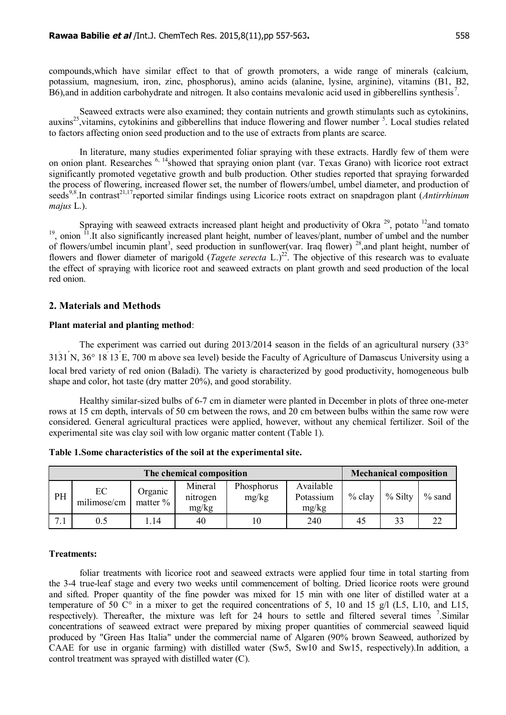compounds,which have similar effect to that of growth promoters, a wide range of minerals (calcium, potassium, magnesium, iron, zinc, phosphorus), amino acids (alanine, lysine, arginine), vitamins (B1, B2,  $\overline{B6}$ ), and in addition carbohydrate and nitrogen. It also contains mevalonic acid used in gibberellins synthesis<sup>7</sup>.

Seaweed extracts were also examined; they contain nutrients and growth stimulants such as cytokinins,  $auxins<sup>25</sup>$ , vitamins, cytokinins and gibberellins that induce flowering and flower number  $5$ . Local studies related to factors affecting onion seed production and to the use of extracts from plants are scarce.

In literature, many studies experimented foliar spraying with these extracts. Hardly few of them were on onion plant. Researches <sup>6, 14</sup>showed that spraying onion plant (var. Texas Grano) with licorice root extract significantly promoted vegetative growth and bulb production. Other studies reported that spraying forwarded the process of flowering, increased flower set, the number of flowers/umbel, umbel diameter, and production of seeds<sup>9,8</sup>.In contrast<sup>21,17</sup>reported similar findings using Licorice roots extract on snapdragon plant (*Antirrhinum majus* L.).

Spraying with seaweed extracts increased plant height and productivity of Okra<sup>29</sup>, potato <sup>12</sup>and tomato  $19$ , onion  $11$ . It also significantly increased plant height, number of leaves/plant, number of umbel and the number of flowers/umbel incumin plant<sup>3</sup>, seed production in sunflower(var. Iraq flower)<sup>28</sup>,and plant height, number of flowers and flower diameter of marigold (*Tagete serecta* L.)<sup>22</sup>. The objective of this research was to evaluate the effect of spraying with licorice root and seaweed extracts on plant growth and seed production of the local red onion.

## **2. Materials and Methods**

#### **Plant material and planting method**:

The experiment was carried out during 2013/2014 season in the fields of an agricultural nursery (33° 31َ31ً N, 36° 18َ13ً E, 700 m above sea level) beside the Faculty of Agriculture of Damascus University using a local bred variety of red onion (Baladi). The variety is characterized by good productivity, homogeneous bulb shape and color, hot taste (dry matter 20%), and good storability.

Healthy similar-sized bulbs of 6-7 cm in diameter were planted in December in plots of three one-meter rows at 15 cm depth, intervals of 50 cm between the rows, and 20 cm between bulbs within the same row were considered. General agricultural practices were applied, however, without any chemical fertilizer. Soil of the experimental site was clay soil with low organic matter content (Table 1).

| The chemical composition |                   |                     |                              |                     |                                 | <b>Mechanical composition</b> |           |           |
|--------------------------|-------------------|---------------------|------------------------------|---------------------|---------------------------------|-------------------------------|-----------|-----------|
| PH                       | EC<br>milimose/cm | Organic<br>matter % | Mineral<br>nitrogen<br>mg/kg | Phosphorus<br>mg/kg | Available<br>Potassium<br>mg/kg | $%$ clay                      | $%$ Silty | $\%$ sand |
|                          | 0.5               | .14                 | 40                           | 10                  | 240                             | 45                            | 33        | 22        |

#### **Treatments:**

foliar treatments with licorice root and seaweed extracts were applied four time in total starting from the 3-4 true-leaf stage and every two weeks until commencement of bolting. Dried licorice roots were ground and sifted. Proper quantity of the fine powder was mixed for 15 min with one liter of distilled water at a temperature of 50  $\degree$  in a mixer to get the required concentrations of 5, 10 and 15 g/l (L5, L10, and L15, respectively). Thereafter, the mixture was left for 24 hours to settle and filtered several times <sup>7</sup>. Similar concentrations of seaweed extract were prepared by mixing proper quantities of commercial seaweed liquid produced by "Green Has Italia" under the commercial name of Algaren (90% brown Seaweed, authorized by CAAE for use in organic farming) with distilled water (Sw5, Sw10 and Sw15, respectively).In addition, a control treatment was sprayed with distilled water (C).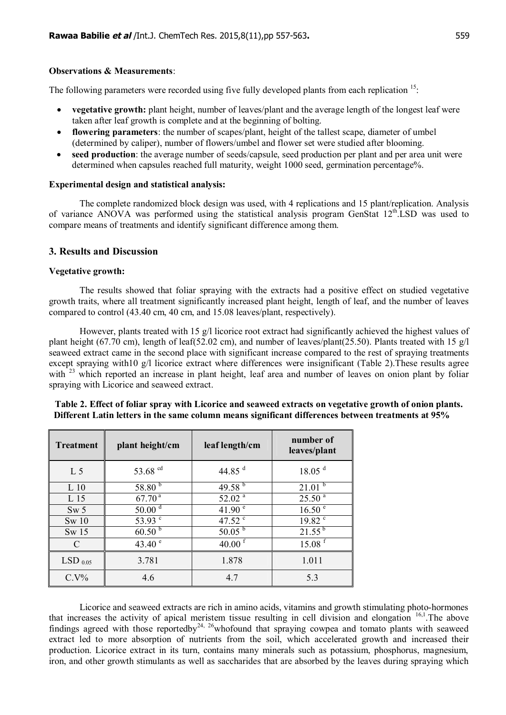### **Observations & Measurements**:

The following parameters were recorded using five fully developed plants from each replication  $15$ .

- · **vegetative growth:** plant height, number of leaves/plant and the average length of the longest leaf were taken after leaf growth is complete and at the beginning of bolting.
- · **flowering parameters**: the number of scapes/plant, height of the tallest scape, diameter of umbel (determined by caliper), number of flowers/umbel and flower set were studied after blooming.
- **seed production**: the average number of seeds/capsule, seed production per plant and per area unit were determined when capsules reached full maturity, weight 1000 seed, germination percentage%.

#### **Experimental design and statistical analysis:**

The complete randomized block design was used, with 4 replications and 15 plant/replication. Analysis of variance ANOVA was performed using the statistical analysis program GenStat 12<sup>th</sup>.LSD was used to compare means of treatments and identify significant difference among them.

## **3. Results and Discussion**

#### **Vegetative growth:**

The results showed that foliar spraying with the extracts had a positive effect on studied vegetative growth traits, where all treatment significantly increased plant height, length of leaf, and the number of leaves compared to control (43.40 cm, 40 cm, and 15.08 leaves/plant, respectively).

However, plants treated with 15 g/l licorice root extract had significantly achieved the highest values of plant height (67.70 cm), length of leaf(52.02 cm), and number of leaves/plant(25.50). Plants treated with 15 g/l seaweed extract came in the second place with significant increase compared to the rest of spraying treatments except spraying with10 g/l licorice extract where differences were insignificant (Table 2).These results agree with <sup>23</sup> which reported an increase in plant height, leaf area and number of leaves on onion plant by foliar spraying with Licorice and seaweed extract.

| <b>Treatment</b> | plant height/cm        | leaf length/cm     | number of<br>leaves/plant |
|------------------|------------------------|--------------------|---------------------------|
| L <sub>5</sub>   | 53.68 <sup>cd</sup>    | 44.85 $^d$         | 18.05 <sup>d</sup>        |
| $L_1$ 10         | 58.80 $^{5}$           | $49.58^{b}$        | $21.01^{5}$               |
| L <sub>15</sub>  | 67.70 <sup>a</sup>     | 52.02 <sup>a</sup> | 25.50 <sup>a</sup>        |
| Sw <sub>5</sub>  | $50.00^{\overline{d}}$ | $41.90^{\circ}$    | $16.50^{\frac{1}{e}}$     |
| Sw 10            | 53.93 c                | 47.52 °            | 19.82 <sup>c</sup>        |
| Sw <sub>15</sub> | 60.50 <sup>b</sup>     | 50.05 <sup>b</sup> | $21.55^{b}$               |
| $\Gamma$         | 43.40 $^{\circ}$       | 40.00 $^{\rm f}$   | $15.08$ <sup>f</sup>      |
| $LSD_{0.05}$     | 3.781                  | 1.878              | 1.011                     |
| $C.V\%$          | 4.6                    | 4.7                | 5.3                       |

| Table 2. Effect of foliar spray with Licorice and seaweed extracts on vegetative growth of onion plants. |
|----------------------------------------------------------------------------------------------------------|
| Different Latin letters in the same column means significant differences between treatments at 95%       |

Licorice and seaweed extracts are rich in amino acids, vitamins and growth stimulating photo-hormones that increases the activity of apical meristem tissue resulting in cell division and elongation  $16,1$ . The above findings agreed with those reportedby<sup>24, 26</sup>whofound that spraying cowpea and tomato plants with seaweed extract led to more absorption of nutrients from the soil, which accelerated growth and increased their production. Licorice extract in its turn, contains many minerals such as potassium, phosphorus, magnesium, iron, and other growth stimulants as well as saccharides that are absorbed by the leaves during spraying which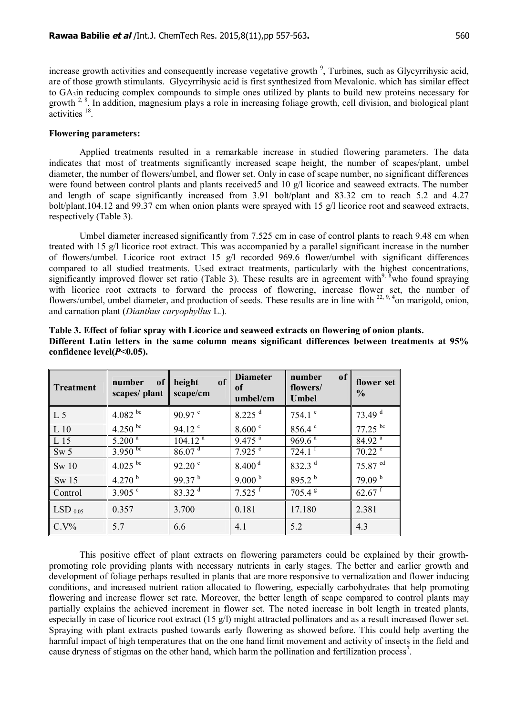increase growth activities and consequently increase vegetative growth<sup>9</sup>, Turbines, such as Glycyrrihysic acid, are of those growth stimulants. Glycyrrihysic acid is first synthesized from Mevalonic. which has similar effect to GA3in reducing complex compounds to simple ones utilized by plants to build new proteins necessary for growth  $2.8$ . In addition, magnesium plays a role in increasing foliage growth, cell division, and biological plant  $\arctivities$ <sup>18</sup>.

#### **Flowering parameters:**

Applied treatments resulted in a remarkable increase in studied flowering parameters. The data indicates that most of treatments significantly increased scape height, the number of scapes/plant, umbel diameter, the number of flowers/umbel, and flower set. Only in case of scape number, no significant differences were found between control plants and plants received5 and 10 g/l licorice and seaweed extracts. The number and length of scape significantly increased from 3.91 bolt/plant and 83.32 cm to reach 5.2 and 4.27 bolt/plant,104.12 and 99.37 cm when onion plants were sprayed with 15 g/l licorice root and seaweed extracts, respectively (Table 3).

Umbel diameter increased significantly from 7.525 cm in case of control plants to reach 9.48 cm when treated with 15 g/l licorice root extract. This was accompanied by a parallel significant increase in the number of flowers/umbel. Licorice root extract 15 g/l recorded 969.6 flower/umbel with significant differences compared to all studied treatments. Used extract treatments, particularly with the highest concentrations, significantly improved flower set ratio (Table 3). These results are in agreement with<sup>9,  $\bar{\delta}$ </sup>who found spraying with licorice root extracts to forward the process of flowering, increase flower set, the number of flowers/umbel, umbel diameter, and production of seeds. These results are in line with <sup>22, 9, 4</sup>on marigold, onion, and carnation plant (*Dianthus caryophyllus* L.).

| <b>Treatment</b> | number<br>of<br>scapes/plant | of<br>height<br>scape/cm | <b>Diameter</b><br>of<br>umbel/cm | of<br>number<br>flowers/<br><b>Umbel</b> | flower set<br>$\frac{0}{0}$ |
|------------------|------------------------------|--------------------------|-----------------------------------|------------------------------------------|-----------------------------|
| L 5              | 4.082 bc                     | $90.97$ c                | $8.225$ <sup>d</sup>              | 754.1 $^{\circ}$                         | 73.49 $d$                   |
| L 10             | $4.250 \text{ pc}$           | $94.12$ <sup>c</sup>     | $8.600^{\circ}$                   | 856.4                                    | $77.25^{bc}$                |
| L 15             | $5.200^{a}$                  | $104.12^{a}$             | $9.475$ <sup>a</sup>              | 969.6 <sup>a</sup>                       | $84.92$ <sup>a</sup>        |
| Sw <sub>5</sub>  | $3.950^{bc}$                 | 86.07 <sup>d</sup>       | $7.925$ <sup>e</sup>              | $724.1$ <sup>f</sup>                     | $70.22^{\circ}$             |
| Sw 10            | 4.025 $\rm^{bc}$             | $92.20$ $\degree$        | 8.400 <sup>d</sup>                | 832.3 $d$                                | 75.87 cd                    |
| Sw 15            | $4.270^{b}$                  | $99.37^{b}$              | 9.000 <sup>b</sup>                | $895.2^{b}$                              | 79.09 <sup>b</sup>          |
| Control          | $3.905$ c                    | 83.32 <sup>d</sup>       | $7.525$ <sup>f</sup>              | 705.4 <sup>g</sup>                       | $62.67$ <sup>f</sup>        |
| $LSD_{0.05}$     | 0.357                        | 3.700                    | 0.181                             | 17.180                                   | 2.381                       |
| $C.V\%$          | 5.7                          | 6.6                      | 4.1                               | 5.2                                      | 4.3                         |

**Table 3. Effect of foliar spray with Licorice and seaweed extracts on flowering of onion plants. Different Latin letters in the same column means significant differences between treatments at 95% confidence level(***P***<0.05).**

This positive effect of plant extracts on flowering parameters could be explained by their growthpromoting role providing plants with necessary nutrients in early stages. The better and earlier growth and development of foliage perhaps resulted in plants that are more responsive to vernalization and flower inducing conditions, and increased nutrient ration allocated to flowering, especially carbohydrates that help promoting flowering and increase flower set rate. Moreover, the better length of scape compared to control plants may partially explains the achieved increment in flower set. The noted increase in bolt length in treated plants, especially in case of licorice root extract  $(15 \text{ g/l})$  might attracted pollinators and as a result increased flower set. Spraying with plant extracts pushed towards early flowering as showed before. This could help averting the harmful impact of high temperatures that on the one hand limit movement and activity of insects in the field and cause dryness of stigmas on the other hand, which harm the pollination and fertilization process<sup>7</sup>.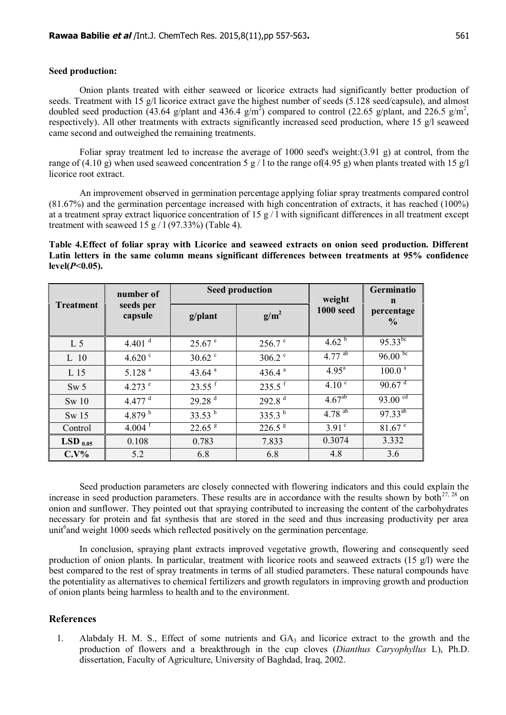#### **Seed production:**

Onion plants treated with either seaweed or licorice extracts had significantly better production of seeds. Treatment with 15 g/l licorice extract gave the highest number of seeds (5.128 seed/capsule), and almost doubled seed production (43.64 g/plant and 436.4 g/m<sup>2</sup>) compared to control (22.65 g/plant, and 226.5 g/m<sup>2</sup>, respectively). All other treatments with extracts significantly increased seed production, where 15 g/l seaweed came second and outweighed the remaining treatments.

Foliar spray treatment led to increase the average of 1000 seed's weight:(3.91 g) at control, from the range of (4.10 g) when used seaweed concentration 5 g / l to the range of(4.95 g) when plants treated with 15 g/l licorice root extract.

An improvement observed in germination percentage applying foliar spray treatments compared control (81.67%) and the germination percentage increased with high concentration of extracts, it has reached (100%) at a treatment spray extract liquorice concentration of 15 g  $/1$  with significant differences in all treatment except treatment with seaweed 15 g  $/$  1 (97.33%) (Table 4).

### **Table 4.Effect of foliar spray with Licorice and seaweed extracts on onion seed production. Different Latin letters in the same column means significant differences between treatments at 95% confidence level(***P***<0.05).**

|                       | number of<br>seeds per<br>capsule |                      | <b>Seed production</b> | weight             | Germinatio                                   |
|-----------------------|-----------------------------------|----------------------|------------------------|--------------------|----------------------------------------------|
| <b>Treatment</b>      |                                   | g/plant              | $g/m^2$                | <b>1000 seed</b>   | $\mathbf n$<br>percentage<br>$\frac{0}{0}$   |
| L <sub>5</sub>        | 4.401 $^d$                        | $25.67$ e            | 256.7 <sup>e</sup>     | 4.62 <sup>b</sup>  | $95.33^{bc}$                                 |
| L 10                  | 4.620 $^{\circ}$                  | $30.62$ $\degree$    | $306.2$ $\degree$      | $4.77^{ab}$        | $96.00 \text{ pc}$                           |
| L 15                  | 5.128 <sup>a</sup>                | 43.64 $a$            | 436.4 $a$              | $4.95^{\text{a}}$  | $100.0^{\frac{1}{a}}$                        |
| Sw <sub>5</sub>       | 4.273 $^{\circ}$                  | $23.55$ <sup>f</sup> | $235.5$ <sup>f</sup>   | 4.10 <sup>c</sup>  | $90.67$ <sup>d</sup>                         |
| Sw 10                 | 4.477 $d$                         | 29.28 <sup>d</sup>   | 292.8 <sup>d</sup>     | 4.67 <sup>ab</sup> | $93.00^{\text{cd}}$                          |
| Sw <sub>15</sub>      | 4.879 $^{\rm b}$                  | 33.53 $^{\rm b}$     | 335.3 $^{\rm b}$       | $4.78^{ab}$        | $97.33^{ab}$                                 |
| Control               | $4.004$ <sup>f</sup>              | $22.65$ <sup>g</sup> | $226.5^{\frac{8}{5}}$  | $3.91^{\circ}$     | $81.67$ <sup><math>\overline{e}</math></sup> |
| $LSD$ <sub>0.05</sub> | 0.108                             | 0.783                | 7.833                  | 0.3074             | 3.332                                        |
| $C.V\%$               | 5.2                               | 6.8                  | 6.8                    | 4.8                | 3.6                                          |

Seed production parameters are closely connected with flowering indicators and this could explain the increase in seed production parameters. These results are in accordance with the results shown by both<sup>27, 28</sup> on onion and sunflower. They pointed out that spraying contributed to increasing the content of the carbohydrates necessary for protein and fat synthesis that are stored in the seed and thus increasing productivity per area unit<sup>6</sup> and weight 1000 seeds which reflected positively on the germination percentage.

In conclusion, spraying plant extracts improved vegetative growth, flowering and consequently seed production of onion plants. In particular, treatment with licorice roots and seaweed extracts (15 g/l) were the best compared to the rest of spray treatments in terms of all studied parameters. These natural compounds have the potentiality as alternatives to chemical fertilizers and growth regulators in improving growth and production of onion plants being harmless to health and to the environment.

#### **References**

1. [Alabdaly](http://www.iasj.net/iasj?func=search&query=au:%22Haytham%20M.%20Alabdaly%20%D9%87%D9%8A%D8%AB%D9%85%20%D9%85%D8%AD%D9%8A%D9%8A%20%D8%A7%D9%84%D8%B9%D8%A8%D8%AF%D9%84%D9%8A%22&uiLanguage=ar) H. M. S., Effect of some nutrients and GA3 and licorice extract to the growth and the production of flowers and a breakthrough in the cup cloves (*Dianthus Caryophyllus* L), Ph.D. dissertation, Faculty of Agriculture, University of Baghdad, Iraq, 2002.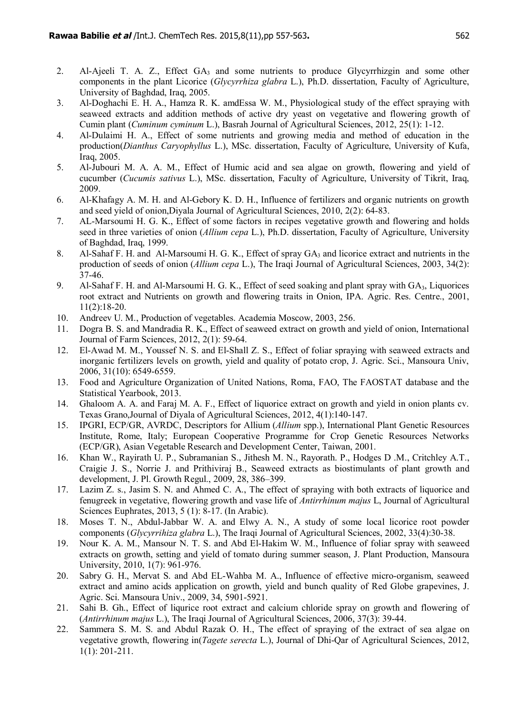- 2. [Al-Ajeeli](http://www.iasj.net/iasj?func=search&query=au:%22hatem%20Khalifah%20breesam%20Al-Ajeeli%20%D8%AD%D8%A7%D8%AA%D9%85%20%D8%AE%D9%84%D9%8A%D9%81%D8%A9%20%D8%A8%D8%B1%D9%8A%D8%B3%D9%85%20%D8%A7%D9%84%D8%B9%D8%AC%D9%8A%D9%84%D9%8A%22&uiLanguage=ar) T. A. Z., Effect GA<sub>3</sub> and some nutrients to produce Glycvrrhizgin and some other components in the plant Licorice (*Glycyrrhiza glabra* L.), Ph.D. dissertation, Faculty of Agriculture, University of Baghdad, Iraq, 2005.
- 3. Al-Doghachi E. H. A., Hamza R. K. amdEssa W. M., Physiological study of the effect spraying with seaweed extracts and addition methods of active dry yeast on vegetative and flowering growth of Cumin plant (*Cuminum cyminum* L.), Basrah Journal of Agricultural Sciences, 2012, 25(1): 1-12.
- 4. Al-Dulaimi H. A., Effect of some nutrients and growing media and method of education in the production(*Dianthus Caryophyllus* L.), MSc. dissertation, Faculty of Agriculture, University of Kufa, Iraq, 2005.
- 5. Al-Jubouri M. A. A. M., Effect of Humic acid and sea algae on growth, flowering and yield of cucumber (*Cucumis sativus* L.), MSc. dissertation, Faculty of Agriculture, University of Tikrit, Iraq, 2009.
- 6. Al-Khafagy A. M. H. and Al-Gebory K. D. H., Influence of fertilizers and organic nutrients on growth and seed yield of onion,Diyala Journal of Agricultural Sciences, 2010, 2(2): 64-83.
- 7. AL-Marsoumi H. G. K., Effect of some factors in recipes vegetative growth and flowering and holds seed in three varieties of onion (*Allium cepa* L.), Ph.D. dissertation, Faculty of Agriculture, University of Baghdad, Iraq, 1999.
- 8. Al-Sahaf F. H. and Al-Marsoumi H. G. K., Effect of spray GA<sub>3</sub> and licorice extract and nutrients in the production of seeds of onion (*Allium cepa* L.), The Iraqi Journal of Agricultural Sciences, 2003, 34(2): 37-46.
- 9. Al-Sahaf F. H. and Al-Marsoumi H. G. K., Effect of seed soaking and plant spray with  $GA_3$ . Liquorices root extract and Nutrients on growth and flowering traits in Onion, IPA. Agric. Res. Centre., 2001, 11(2):18-20.
- 10. Andreev U. M., Production of vegetables. Academia Moscow, 2003, 256.
- 11. Dogra B. S. and Mandradia R. K., Effect of seaweed extract on growth and yield of onion, International Journal of Farm Sciences, 2012, 2(1): 59-64.
- 12. El-Awad M. M., Youssef N. S. and El-Shall Z. S., Effect of foliar spraying with seaweed extracts and inorganic fertilizers levels on growth, yield and quality of potato crop, J. Agric. Sci., Mansoura Univ, 2006, 31(10): 6549-6559.
- 13. Food and Agriculture Organization of United Nations, Roma, FAO, The FAOSTAT database and the Statistical Yearbook, 2013.
- 14. Ghaloom A. A. and Faraj M. A. F., Effect of liquorice extract on growth and yield in onion plants cv. Texas Grano,Journal of Diyala of Agricultural Sciences, 2012, 4(1):140-147.
- 15. IPGRI, ECP/GR, AVRDC, Descriptors for Allium (*Allium* spp.), International Plant Genetic Resources Institute, Rome, Italy; European Cooperative Programme for Crop Genetic Resources Networks (ECP/GR), Asian Vegetable Research and Development Center, Taiwan, 2001.
- 16. Khan W., Rayirath U. P., Subramanian S., Jithesh M. N., Rayorath. P., Hodges D .M., Critchley A.T., Craigie J. S., Norrie J. and Prithiviraj B., Seaweed extracts as biostimulants of plant growth and development, J. Pl. Growth Regul., 2009, 28, 386–399.
- 17. Lazim Z. s., Jasim S. N. and Ahmed C. A., The effect of spraying with both extracts of liquorice and fenugreek in vegetative, flowering growth and vase life of *Antirrhinum majus* L, Journal of Agricultural Sciences Euphrates, 2013, 5 (1): 8-17. (In Arabic).
- 18. Moses T. N., Abdul-Jabbar W. A. and Elwy A. N., A study of some local licorice root powder components (*Glycyrrihiza glabra* L.), The Iraqi Journal of Agricultural Sciences, 2002, 33(4):30-38.
- 19. Nour K. A. M., Mansour N. T. S. and Abd El-Hakim W. M., Influence of foliar spray with seaweed extracts on growth, setting and yield of tomato during summer season, J. Plant Production, Mansoura University, 2010, 1(7): 961-976.
- 20. Sabry G. H., Mervat S. and Abd EL-Wahba M. A., Influence of effective micro-organism, seaweed extract and amino acids application on growth, yield and bunch quality of Red Globe grapevines, J. Agric. Sci. Mansoura Univ., 2009, 34, 5901-5921.
- 21. Sahi B. Gh., Effect of liqurice root extract and calcium chloride spray on growth and flowering of (*Antirrhinum majus* L.), The Iraqi Journal of Agricultural Sciences, 2006, 37(3): 39-44.
- 22. Sammera S. M. S. and Abdul Razak O. H., The effect of spraying of the extract of sea algae on vegetative growth, flowering in(*Tagete serecta* L.), Journal of Dhi-Qar of Agricultural Sciences, 2012, 1(1): 201-211.